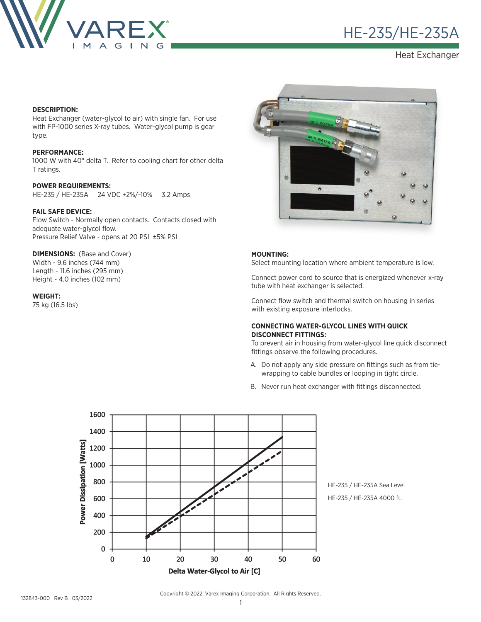

# HE-235/HE-235A ®

Heat Exchanger

#### **DESCRIPTION:**

Heat Exchanger (water-glycol to air) with single fan. For use with FP-1000 series X-ray tubes. Water-glycol pump is gear type.

#### **PERFORMANCE:**

1000 W with 40° delta T. Refer to cooling chart for other delta T ratings.

#### **POWER REQUIREMENTS:**

HE-235 / HE-235A 24 VDC +2%/-10% 3.2 Amps

## **FAIL SAFE DEVICE:**

Flow Switch - Normally open contacts. Contacts closed with adequate water-glycol flow. Pressure Relief Valve - opens at 20 PSI ±5% PSI

#### **DIMENSIONS: (Base and Cover)**

Width - 9.6 inches (744 mm) Length - 11.6 inches (295 mm) Height - 4.0 inches (102 mm)

#### **WEIGHT:**

75 kg (16.5 lbs)



#### **MOUNTING:**

Select mounting location where ambient temperature is low.

Connect power cord to source that is energized whenever x-ray tube with heat exchanger is selected.

Connect flow switch and thermal switch on housing in series with existing exposure interlocks.

## **CONNECTING WATER-GLYCOL LINES WITH QUICK DISCONNECT FITTINGS:**

To prevent air in housing from water-glycol line quick disconnect fittings observe the following procedures.

- A. Do not apply any side pressure on fittings such as from tiewrapping to cable bundles or looping in tight circle.
- B. Never run heat exchanger with fittings disconnected.



HE-235 / HE-235A Sea Level HE-235 / HE-235A 4000 ft.

Copyright © 2022, Varex Imaging Corporation. All Rights Reserved.